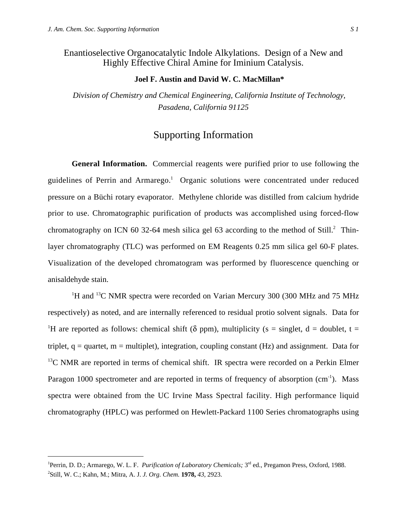Enantioselective Organocatalytic Indole Alkylations. Design of a New and Highly Effective Chiral Amine for Iminium Catalysis.

## **Joel F. Austin and David W. C. MacMillan\***

*Division of Chemistry and Chemical Engineering, California Institute of Technology, Pasadena, California 91125*

# Supporting Information

**General Information.** Commercial reagents were purified prior to use following the guidelines of Perrin and Armarego.<sup>1</sup> Organic solutions were concentrated under reduced pressure on a Büchi rotary evaporator. Methylene chloride was distilled from calcium hydride prior to use. Chromatographic purification of products was accomplished using forced-flow chromatography on ICN 60 32-64 mesh silica gel 63 according to the method of Still. $^2$  Thinlayer chromatography (TLC) was performed on EM Reagents 0.25 mm silica gel 60-F plates. Visualization of the developed chromatogram was performed by fluorescence quenching or anisaldehyde stain.

<sup>1</sup>H and <sup>13</sup>C NMR spectra were recorded on Varian Mercury 300 (300 MHz and 75 MHz respectively) as noted, and are internally referenced to residual protio solvent signals. Data for <sup>1</sup>H are reported as follows: chemical shift ( $\delta$  ppm), multiplicity ( $s = singlet$ ,  $d = doublet$ ,  $t =$ triplet,  $q =$  quartet,  $m =$  multiplet), integration, coupling constant (Hz) and assignment. Data for  $13<sup>13</sup>C$  NMR are reported in terms of chemical shift. IR spectra were recorded on a Perkin Elmer Paragon 1000 spectrometer and are reported in terms of frequency of absorption (cm<sup>-1</sup>). Mass spectra were obtained from the UC Irvine Mass Spectral facility. High performance liquid chromatography (HPLC) was performed on Hewlett-Packard 1100 Series chromatographs using

 $\frac{1}{1}$ <sup>1</sup>Perrin, D. D.; Armarego, W. L. F. *Purification of Laboratory Chemicals*; 3<sup>rd</sup> ed., Pregamon Press, Oxford, 1988. 2 Still, W. C.; Kahn, M.; Mitra, A. J. *J. Org. Chem.* **1978,** *43*, 2923.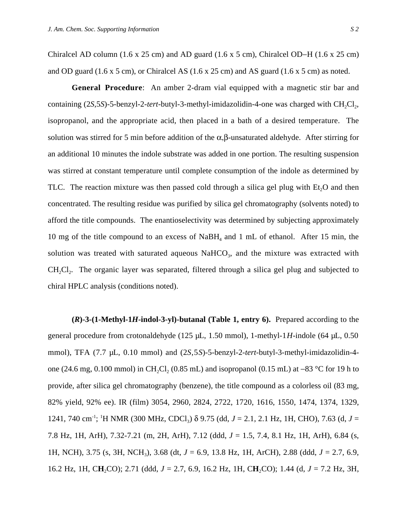Chiralcel AD column (1.6 x 25 cm) and AD guard (1.6 x 5 cm), Chiralcel OD−H (1.6 x 25 cm) and OD guard  $(1.6 \times 5 \text{ cm})$ , or Chiralcel AS  $(1.6 \times 25 \text{ cm})$  and AS guard  $(1.6 \times 5 \text{ cm})$  as noted.

**General Procedure**: An amber 2-dram vial equipped with a magnetic stir bar and containing  $(2*S*,5*S*)-5-benzyl-2-*tert*-butyl-3-methyl-imidazolidin-4-one was charged with  $CH_2Cl_2$ ,$ isopropanol, and the appropriate acid, then placed in a bath of a desired temperature. The solution was stirred for 5 min before addition of the  $\alpha, \beta$ -unsaturated aldehyde. After stirring for an additional 10 minutes the indole substrate was added in one portion. The resulting suspension was stirred at constant temperature until complete consumption of the indole as determined by TLC. The reaction mixture was then passed cold through a silica gel plug with  $Et<sub>2</sub>O$  and then concentrated. The resulting residue was purified by silica gel chromatography (solvents noted) to afford the title compounds. The enantioselectivity was determined by subjecting approximately 10 mg of the title compound to an excess of  $NaBH_4$  and 1 mL of ethanol. After 15 min, the solution was treated with saturated aqueous  $NaHCO<sub>3</sub>$ , and the mixture was extracted with  $CH_2Cl_2$ . The organic layer was separated, filtered through a silica gel plug and subjected to chiral HPLC analysis (conditions noted).

**(***R***)-3-(1-Methyl-1***H***-indol-3-yl)-butanal (Table 1, entry 6).** Prepared according to the general procedure from crotonaldehyde (125 µL, 1.50 mmol), 1-methyl-1*H*-indole (64 µL, 0.50 mmol), TFA (7.7 µL, 0.10 mmol) and (2*S*,5*S*)-5-benzyl-2-*tert*-butyl-3-methyl-imidazolidin-4 one (24.6 mg, 0.100 mmol) in CH<sub>2</sub>Cl<sub>2</sub> (0.85 mL) and isopropanol (0.15 mL) at −83 °C for 19 h to provide, after silica gel chromatography (benzene), the title compound as a colorless oil (83 mg, 82% yield, 92% ee). IR (film) 3054, 2960, 2824, 2722, 1720, 1616, 1550, 1474, 1374, 1329, 1241, 740 cm<sup>-1</sup>; <sup>1</sup>H NMR (300 MHz, CDCl<sub>3</sub>) δ 9.75 (dd, *J* = 2.1, 2.1 Hz, 1H, CHO), 7.63 (d, *J* = 7.8 Hz, 1H, ArH), 7.32-7.21 (m, 2H, ArH), 7.12 (ddd, *J* = 1.5, 7.4, 8.1 Hz, 1H, ArH), 6.84 (s, 1H, NCH), 3.75 (s, 3H, NCH3), 3.68 (dt, *J* = 6.9, 13.8 Hz, 1H, ArCH), 2.88 (ddd, *J* = 2.7, 6.9, 16.2 Hz, 1H, C**H**2CO); 2.71 (ddd, *J* = 2.7, 6.9, 16.2 Hz, 1H, C**H**2CO); 1.44 (d, *J* = 7.2 Hz, 3H,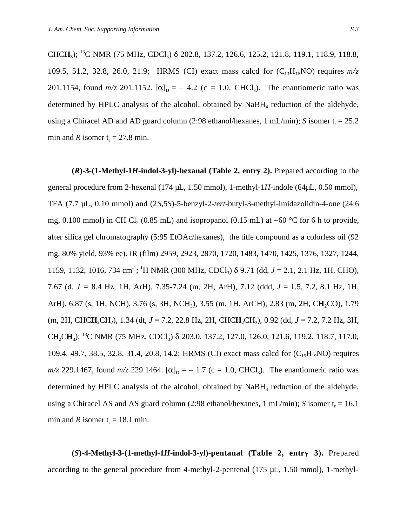CHCH<sub>3</sub>); <sup>13</sup>C NMR (75 MHz, CDCl<sub>3</sub>) δ 202.8, 137.2, 126.6, 125.2, 121.8, 119.1, 118.9, 118.8, 109.5, 51.2, 32.8, 26.0, 21.9; HRMS (CI) exact mass calcd for  $(C_{13}H_{15}NO)$  requires  $m/z$ 201.1154, found  $m/z$  201.1152.  $[\alpha]_D = -4.2$  (c = 1.0, CHCl<sub>3</sub>). The enantiomeric ratio was determined by HPLC analysis of the alcohol, obtained by  $N$ a $BH<sub>4</sub>$  reduction of the aldehyde, using a Chiracel AD and AD guard column  $(2:98 \text{ ethanol/hexanes}, 1 \text{ mL/min})$ ; *S* isomer  $t_r = 25.2$ min and *R* isomer  $t = 27.8$  min.

**(***R***)-3-(1-Methyl-1***H***-indol-3-yl)-hexanal (Table 2, entry 2).** Prepared according to the general procedure from 2-hexenal (174 µL, 1.50 mmol), 1-methyl-1*H*-indole (64µL, 0.50 mmol), TFA (7.7 µL, 0.10 mmol) and (2*S*,5*S*)-5-benzyl-2-*tert*-butyl-3-methyl-imidazolidin-4-one (24.6 mg, 0.100 mmol) in CH<sub>2</sub>Cl<sub>2</sub> (0.85 mL) and isopropanol (0.15 mL) at −60 °C for 6 h to provide, after silica gel chromatography (5:95 EtOAc/hexanes), the title compound as a colorless oil (92 mg, 80% yield, 93% ee). IR (film) 2959, 2923, 2870, 1720, 1483, 1470, 1425, 1376, 1327, 1244, 1159, 1132, 1016, 734 cm<sup>-1</sup>; <sup>1</sup>H NMR (300 MHz, CDCl<sub>3</sub>) δ 9.71 (dd, *J* = 2.1, 2.1 Hz, 1H, CHO), 7.67 (d, *J =* 8.4 Hz, 1H, ArH), 7.35-7.24 (m, 2H, ArH), 7.12 (ddd, *J* = 1.5, 7.2, 8.1 Hz, 1H, ArH), 6.87 (s, 1H, NCH), 3.76 (s, 3H, NCH<sub>3</sub>), 3.55 (m, 1H, ArCH), 2.83 (m, 2H, C**H**<sub>2</sub>CO), 1.79 (m, 2H, CHC**H**<sub>2</sub>CH<sub>2</sub>), 1.34 (dt, *J* = 7.2, 22.8 Hz, 2H, CHC**H**<sub>2</sub>CH<sub>3</sub>), 0.92 (dd, *J* = 7.2, 7.2 Hz, 3H, CH<sub>2</sub>CH<sub>3</sub>); <sup>13</sup>C NMR (75 MHz, CDCl<sub>3</sub>) δ 203.0, 137.2, 127.0, 126.0, 121.6, 119.2, 118.7, 117.0, 109.4, 49.7, 38.5, 32.8, 31.4, 20.8, 14.2; HRMS (CI) exact mass calcd for  $(C_{15}H_{19}NO)$  requires *m/z* 229.1467, found  $m/z$  229.1464.  $[\alpha]_D = -1.7$  (c = 1.0, CHCl<sub>3</sub>). The enantiomeric ratio was determined by HPLC analysis of the alcohol, obtained by  $N$ aBH<sub>4</sub> reduction of the aldehyde, using a Chiracel AS and AS guard column  $(2:98 \text{ ethanol/hexanes}, 1 \text{ mL/min})$ ; *S* isomer  $t_r = 16.1$ min and *R* isomer  $t_r = 18.1$  min.

**(***S***)-4-Methyl-3-(1-methyl-1***H***-indol-3-yl)-pentanal (Table 2, entry 3).** Prepared according to the general procedure from 4-methyl-2-pentenal (175 µL, 1.50 mmol), 1-methyl-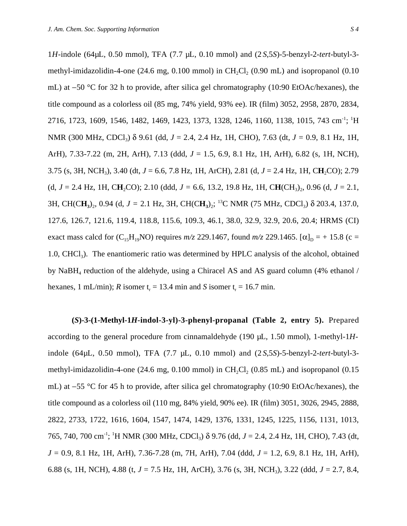1*H*-indole (64µL, 0.50 mmol), TFA (7.7 µL, 0.10 mmol) and (2 *S*,5*S*)-5-benzyl-2-*tert*-butyl-3 methyl-imidazolidin-4-one  $(24.6 \text{ mg}, 0.100 \text{ mmol})$  in CH<sub>2</sub>Cl<sub>2</sub>  $(0.90 \text{ mL})$  and isopropanol  $(0.10 \text{ m})$ 

mL) at −50 °C for 32 h to provide, after silica gel chromatography (10:90 EtOAc/hexanes), the title compound as a colorless oil (85 mg, 74% yield, 93% ee). IR (film) 3052, 2958, 2870, 2834, 2716, 1723, 1609, 1546, 1482, 1469, 1423, 1373, 1328, 1246, 1160, 1138, 1015, 743 cm<sup>-1</sup>; <sup>1</sup>H NMR (300 MHz, CDCl<sub>3</sub>) δ 9.61 (dd, *J* = 2.4, 2.4 Hz, 1H, CHO), 7.63 (dt, *J* = 0.9, 8.1 Hz, 1H, ArH), 7.33-7.22 (m, 2H, ArH), 7.13 (ddd, *J* = 1.5, 6.9, 8.1 Hz, 1H, ArH), 6.82 (s, 1H, NCH), 3.75 (s, 3H, NCH3), 3.40 (dt, *J* = 6.6, 7.8 Hz, 1H, ArCH), 2.81 (d, *J* = 2.4 Hz, 1H, C**H**2CO); 2.79 (d,  $J = 2.4$  Hz, 1H, CH<sub>2</sub>CO); 2.10 (ddd,  $J = 6.6$ , 13.2, 19.8 Hz, 1H, CH(CH<sub>3</sub>)<sub>2</sub>, 0.96 (d,  $J = 2.1$ , 3H, CH(CH<sub>3</sub>)<sub>2</sub>, 0.94 (d, *J* = 2.1 Hz, 3H, CH(CH<sub>3</sub>)<sub>2</sub>; <sup>13</sup>C NMR (75 MHz, CDCl<sub>3</sub>)  $\delta$  203.4, 137.0, 127.6, 126.7, 121.6, 119.4, 118.8, 115.6, 109.3, 46.1, 38.0, 32.9, 32.9, 20.6, 20.4; HRMS (CI) exact mass calcd for  $(C_{15}H_{19}NO)$  requires  $m/z$  229.1467, found  $m/z$  229.1465.  $[\alpha]_D = + 15.8$  (c = 1.0, CHCl<sub>3</sub>). The enantiomeric ratio was determined by HPLC analysis of the alcohol, obtained by NaBH4 reduction of the aldehyde, using a Chiracel AS and AS guard column (4% ethanol / hexanes, 1 mL/min); *R* isomer  $t_r = 13.4$  min and *S* isomer  $t_r = 16.7$  min.

**(***S***)-3-(1-Methyl-1***H***-indol-3-yl)-3-phenyl-propanal (Table 2, entry 5).** Prepared according to the general procedure from cinnamaldehyde (190 µL, 1.50 mmol), 1-methyl-1*H*indole (64µL, 0.50 mmol), TFA (7.7 µL, 0.10 mmol) and (2 *S*,5*S*)-5-benzyl-2-*tert*-butyl-3 methyl-imidazolidin-4-one (24.6 mg,  $0.100$  mmol) in CH<sub>2</sub>Cl<sub>2</sub> (0.85 mL) and isopropanol (0.15 mL) at −55 °C for 45 h to provide, after silica gel chromatography (10:90 EtOAc/hexanes), the title compound as a colorless oil (110 mg, 84% yield, 90% ee). IR (film) 3051, 3026, 2945, 2888, 2822, 2733, 1722, 1616, 1604, 1547, 1474, 1429, 1376, 1331, 1245, 1225, 1156, 1131, 1013, 765, 740, 700 cm-1; 1 H NMR (300 MHz, CDCl3) δ 9.76 (dd, *J* = 2.4, 2.4 Hz, 1H, CHO), 7.43 (dt, *J =* 0.9, 8.1 Hz, 1H, ArH), 7.36-7.28 (m, 7H, ArH), 7.04 (ddd, *J* = 1.2, 6.9, 8.1 Hz, 1H, ArH), 6.88 (s, 1H, NCH), 4.88 (t, *J* = 7.5 Hz, 1H, ArCH), 3.76 (s, 3H, NCH3), 3.22 (ddd, *J* = 2.7, 8.4,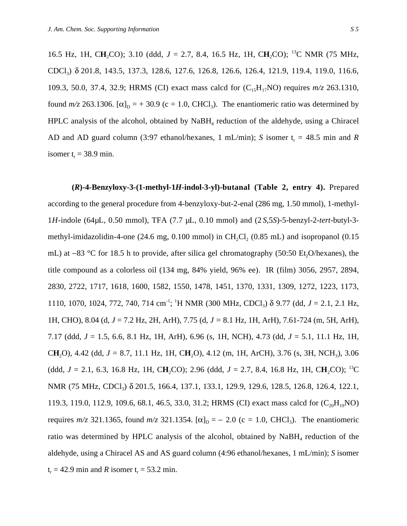16.5 Hz, 1H, CH<sub>2</sub>CO); 3.10 (ddd, *J* = 2.7, 8.4, 16.5 Hz, 1H, CH<sub>2</sub>CO); <sup>13</sup>C NMR (75 MHz, CDCl3) δ 201.8, 143.5, 137.3, 128.6, 127.6, 126.8, 126.6, 126.4, 121.9, 119.4, 119.0, 116.6, 109.3, 50.0, 37.4, 32.9; HRMS (CI) exact mass calcd for  $(C_{15}H_{17}NO)$  requires  $m/z$  263.1310, found  $m/z$  263.1306.  $[\alpha]_D = +30.9$  (c = 1.0, CHCl<sub>3</sub>). The enantiomeric ratio was determined by HPLC analysis of the alcohol, obtained by  $N$ a $BH<sub>4</sub>$  reduction of the aldehyde, using a Chiracel AD and AD guard column (3:97 ethanol/hexanes, 1 mL/min); *S* isomer  $t_r = 48.5$  min and *R* isomer  $t_r = 38.9$  min.

**(***R***)-4-Benzyloxy-3-(1-methyl-1***H***-indol-3-yl)-butanal (Table 2, entry 4).** Prepared according to the general procedure from 4-benzyloxy-but-2-enal (286 mg, 1.50 mmol), 1-methyl-1*H*-indole (64µL, 0.50 mmol), TFA (7.7 µL, 0.10 mmol) and (2 *S*,5*S*)-5-benzyl-2-*tert*-butyl-3 methyl-imidazolidin-4-one  $(24.6 \text{ mg}, 0.100 \text{ mmol})$  in CH<sub>2</sub>Cl<sub>2</sub> (0.85 mL) and isopropanol (0.15 mL) at −83 °C for 18.5 h to provide, after silica gel chromatography (50:50 Et<sub>2</sub>O/hexanes), the title compound as a colorless oil (134 mg, 84% yield, 96% ee). IR (film) 3056, 2957, 2894, 2830, 2722, 1717, 1618, 1600, 1582, 1550, 1478, 1451, 1370, 1331, 1309, 1272, 1223, 1173, 1110, 1070, 1024, 772, 740, 714 cm<sup>-1</sup>; <sup>1</sup>H NMR (300 MHz, CDCl<sub>3</sub>) δ 9.77 (dd, *J* = 2.1, 2.1 Hz, 1H, CHO), 8.04 (d, *J* = 7.2 Hz, 2H, ArH), 7.75 (d, *J =* 8.1 Hz, 1H, ArH), 7.61-724 (m, 5H, ArH), 7.17 (ddd, *J* = 1.5, 6.6, 8.1 Hz, 1H, ArH), 6.96 (s, 1H, NCH), 4.73 (dd, *J* = 5.1, 11.1 Hz, 1H, C**H**2O), 4.42 (dd, *J =* 8.7, 11.1 Hz, 1H, C**H**2O), 4.12 (m, 1H, ArCH), 3.76 (s, 3H, NCH3), 3.06 (ddd,  $J = 2.1$ , 6.3, 16.8 Hz, 1H, CH<sub>2</sub>CO); 2.96 (ddd,  $J = 2.7$ , 8.4, 16.8 Hz, 1H, CH<sub>2</sub>CO); <sup>13</sup>C NMR (75 MHz, CDCl<sub>3</sub>) δ 201.5, 166.4, 137.1, 133.1, 129.9, 129.6, 128.5, 126.8, 126.4, 122.1, 119.3, 119.0, 112.9, 109.6, 68.1, 46.5, 33.0, 31.2; HRMS (CI) exact mass calcd for  $(C_{20}H_{19}NO)$ requires  $m/z$  321.1365, found  $m/z$  321.1354.  $[\alpha]_D = -2.0$  (c = 1.0, CHCl<sub>3</sub>). The enantiomeric ratio was determined by HPLC analysis of the alcohol, obtained by  $NaBH<sub>4</sub>$  reduction of the aldehyde, using a Chiracel AS and AS guard column (4:96 ethanol/hexanes, 1 mL/min); *S* isomer  $t_r = 42.9$  min and *R* isomer  $t_r = 53.2$  min.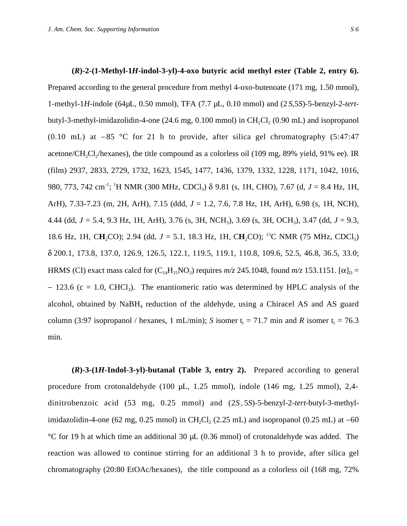#### **(***R***)-2-(1-Methyl-1***H***-indol-3-yl)-4-oxo butyric acid methyl ester (Table 2, entry 6).**

Prepared according to the general procedure from methyl 4-oxo-butenoate (171 mg, 1.50 mmol), 1-methyl-1*H*-indole (64µL, 0.50 mmol), TFA (7.7 µL, 0.10 mmol) and (2 *S*,5*S*)-5-benzyl-2-*tert*butyl-3-methyl-imidazolidin-4-one  $(24.6 \text{ mg}, 0.100 \text{ mmol})$  in CH<sub>2</sub>Cl<sub>2</sub>  $(0.90 \text{ mL})$  and isopropanol (0.10 mL) at −85 °C for 21 h to provide, after silica gel chromatography (5:47:47 acetone/CH<sub>2</sub>Cl<sub>2</sub>/hexanes), the title compound as a colorless oil (109 mg, 89% yield, 91% ee). IR (film) 2937, 2833, 2729, 1732, 1623, 1545, 1477, 1436, 1379, 1332, 1228, 1171, 1042, 1016, 980, 773, 742 cm<sup>-1</sup>; <sup>1</sup>H NMR (300 MHz, CDCl<sub>3</sub>) δ 9.81 (s, 1H, CHO), 7.67 (d, *J* = 8.4 Hz, 1H, ArH), 7.33-7.23 (m, 2H, ArH), 7.15 (ddd, *J* = 1.2, 7.6, 7.8 Hz, 1H, ArH), 6.98 (s, 1H, NCH), 4.44 (dd, *J =* 5.4, 9.3 Hz, 1H, ArH), 3.76 (s, 3H, NCH3), 3.69 (s, 3H, OCH3), 3.47 (dd, *J* = 9.3, 18.6 Hz, 1H, CH<sub>2</sub>CO); 2.94 (dd, *J* = 5.1, 18.3 Hz, 1H, CH<sub>2</sub>CO); <sup>13</sup>C NMR (75 MHz, CDCl<sub>3</sub>) δ 200.1, 173.8, 137.0, 126.9, 126.5, 122.1, 119.5, 119.1, 110.8, 109.6, 52.5, 46.8, 36.5, 33.0; HRMS (CI) exact mass calcd for  $(C_{14}H_{15}NO_3)$  requires  $m/z$  245.1048, found  $m/z$  153.1151.  $[\alpha]_D =$ − 123.6 (c = 1.0, CHCl<sub>3</sub>). The enantiomeric ratio was determined by HPLC analysis of the alcohol, obtained by  $N_aBH_a$  reduction of the aldehyde, using a Chiracel AS and AS guard column (3:97 isopropanol / hexanes, 1 mL/min); *S* isomer  $t = 71.7$  min and *R* isomer  $t = 76.3$ min.

**(***R***)-3-(1***H***-Indol-3-yl)-butanal (Table 3, entry 2).** Prepared according to general procedure from crotonaldehyde (100 µL, 1.25 mmol), indole (146 mg, 1.25 mmol), 2,4dinitrobenzoic acid (53 mg, 0.25 mmol) and (2*S* , 5*S*)-5-benzyl-2-*tert*-butyl-3-methylimidazolidin-4-one (62 mg, 0.25 mmol) in CH<sub>2</sub>Cl<sub>2</sub> (2.25 mL) and isopropanol (0.25 mL) at −60 °C for 19 h at which time an additional 30 µL (0.36 mmol) of crotonaldehyde was added. The reaction was allowed to continue stirring for an additional 3 h to provide, after silica gel chromatography (20:80 EtOAc/hexanes), the title compound as a colorless oil (168 mg, 72%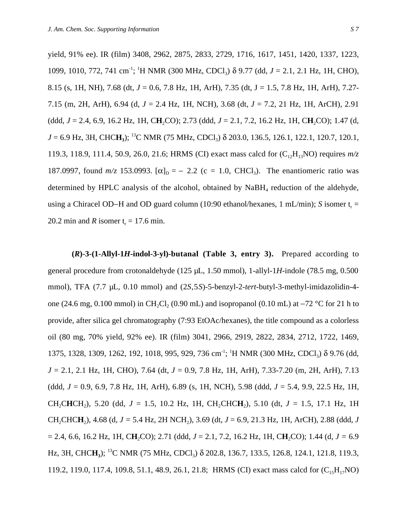yield, 91% ee). IR (film) 3408, 2962, 2875, 2833, 2729, 1716, 1617, 1451, 1420, 1337, 1223, 1099, 1010, 772, 741 cm<sup>-1</sup>; <sup>1</sup>H NMR (300 MHz, CDCl<sub>3</sub>) δ 9.77 (dd, *J* = 2.1, 2.1 Hz, 1H, CHO), 8.15 (s, 1H, NH), 7.68 (dt, *J* = 0.6, 7.8 Hz, 1H, ArH), 7.35 (dt, J = 1.5, 7.8 Hz, 1H, ArH), 7.27- 7.15 (m, 2H, ArH), 6.94 (d, *J* = 2.4 Hz, 1H, NCH), 3.68 (dt, *J* = 7.2, 21 Hz, 1H, ArCH), 2.91 (ddd, *J* = 2.4, 6.9, 16.2 Hz, 1H, C**H**2CO); 2.73 (ddd, *J* = 2.1, 7.2, 16.2 Hz, 1H, C**H**2CO); 1.47 (d, *J* = 6.9 Hz, 3H, CHC**H3**); 13C NMR (75 MHz, CDCl3) δ 203.0, 136.5, 126.1, 122.1, 120.7, 120.1, 119.3, 118.9, 111.4, 50.9, 26.0, 21.6; HRMS (CI) exact mass calcd for (C<sub>12</sub>H<sub>13</sub>NO) requires  $m/z$ 187.0997, found  $m/z$  153.0993.  $[\alpha]_D = -2.2$  (c = 1.0, CHCl<sub>3</sub>). The enantiomeric ratio was determined by HPLC analysis of the alcohol, obtained by  $N$ a $BH<sub>4</sub>$  reduction of the aldehyde, using a Chiracel OD–H and OD guard column (10:90 ethanol/hexanes, 1 mL/min); *S* isomer t<sub>r</sub> = 20.2 min and *R* isomer t<sub>r</sub> = 17.6 min.

 $(R)$ -3-(1-Allyl-1*H*-indol-3-yl)-butanal (Table 3, entry 3). Prepared according to general procedure from crotonaldehyde (125 µL, 1.50 mmol), 1-allyl-1*H*-indole (78.5 mg, 0.500 mmol), TFA (7.7 µL, 0.10 mmol) and (2*S*,5*S*)-5-benzyl-2-tert-butyl-3-methyl-imidazolidin-4one (24.6 mg, 0.100 mmol) in CH<sub>2</sub>Cl<sub>2</sub> (0.90 mL) and isopropanol (0.10 mL) at  $-72$  °C for 21 h to provide, after silica gel chromatography (7:93 EtOAc/hexanes), the title compound as a colorless oil (80 mg, 70% yield, 92% ee). IR (film) 3041, 2966, 2919, 2822, 2834, 2712, 1722, 1469, 1375, 1328, 1309, 1262, 192, 1018, 995, 929, 736 cm<sup>-1</sup>; <sup>1</sup>H NMR (300 MHz, CDCl<sub>3</sub>) δ 9.76 (dd, *J* = 2.1, 2.1 Hz, 1H, CHO), 7.64 (dt, *J* = 0.9, 7.8 Hz, 1H, ArH), 7.33-7.20 (m, 2H, ArH), 7.13 (ddd, *J* = 0.9, 6.9, 7.8 Hz, 1H, ArH), 6.89 (s, 1H, NCH), 5.98 (ddd, *J* = 5.4, 9.9, 22.5 Hz, 1H, CH<sub>2</sub>CHCH<sub>2</sub>), 5.20 (dd,  $J = 1.5$ , 10.2 Hz, 1H, CH<sub>2</sub>CHCH<sub>2</sub>), 5.10 (dt,  $J = 1.5$ , 17.1 Hz, 1H  $CH_2CHCH$ <sub>2</sub>), 4.68 (d,  $J = 5.4$  Hz, 2H NCH<sub>2</sub>), 3.69 (dt,  $J = 6.9$ , 21.3 Hz, 1H, ArCH), 2.88 (ddd, *J* = 2.4, 6.6, 16.2 Hz, 1H, C**H**2CO); 2.71 (ddd, *J* = 2.1, 7.2, 16.2 Hz, 1H, C**H**2CO); 1.44 (d, *J =* 6.9 Hz, 3H, CHC**H**<sub>3</sub>); <sup>13</sup>C NMR (75 MHz, CDCl<sub>3</sub>) δ 202.8, 136.7, 133.5, 126.8, 124.1, 121.8, 119.3, 119.2, 119.0, 117.4, 109.8, 51.1, 48.9, 26.1, 21.8; HRMS (CI) exact mass calcd for  $(C_{15}H_{17}NO)$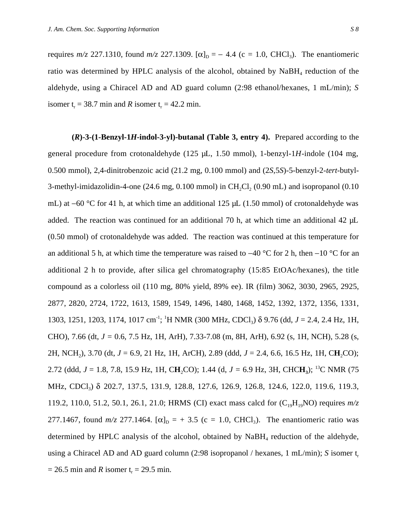requires  $m/z$  227.1310, found  $m/z$  227.1309. [α]<sub>D</sub> = − 4.4 (c = 1.0, CHCl<sub>3</sub>). The enantiomeric ratio was determined by HPLC analysis of the alcohol, obtained by  $N$ aBH<sub>4</sub> reduction of the aldehyde, using a Chiracel AD and AD guard column (2:98 ethanol/hexanes, 1 mL/min); *S* isomer  $t_r = 38.7$  min and *R* isomer  $t_r = 42.2$  min.

**(***R***)-3-(1-Benzyl-1***H***-indol-3-yl)-butanal (Table 3, entry 4).** Prepared according to the general procedure from crotonaldehyde (125 µL, 1.50 mmol), 1-benzyl-1*H*-indole (104 mg, 0.500 mmol), 2,4-dinitrobenzoic acid (21.2 mg, 0.100 mmol) and (2*S*,5*S*)-5-benzyl-2-*tert*-butyl-3-methyl-imidazolidin-4-one  $(24.6 \text{ mg}, 0.100 \text{ mmol})$  in CH<sub>2</sub>Cl<sub>2</sub>  $(0.90 \text{ mL})$  and isopropanol  $(0.10 \text{ m})$ mL) at −60 °C for 41 h, at which time an additional 125 µL (1.50 mmol) of crotonaldehyde was added. The reaction was continued for an additional 70 h, at which time an additional 42 µL (0.50 mmol) of crotonaldehyde was added. The reaction was continued at this temperature for an additional 5 h, at which time the temperature was raised to −40 °C for 2 h, then −10 °C for an additional 2 h to provide, after silica gel chromatography (15:85 EtOAc/hexanes), the title compound as a colorless oil (110 mg, 80% yield, 89% ee). IR (film) 3062, 3030, 2965, 2925, 2877, 2820, 2724, 1722, 1613, 1589, 1549, 1496, 1480, 1468, 1452, 1392, 1372, 1356, 1331, 1303, 1251, 1203, 1174, 1017 cm<sup>-1</sup>; <sup>1</sup>H NMR (300 MHz, CDCl<sub>3</sub>) δ 9.76 (dd, *J* = 2.4, 2.4 Hz, 1H, CHO), 7.66 (dt, *J =* 0.6, 7.5 Hz, 1H, ArH), 7.33-7.08 (m, 8H, ArH), 6.92 (s, 1H, NCH), 5.28 (s, 2H, NCH2), 3.70 (dt, *J* = 6.9, 21 Hz, 1H, ArCH), 2.89 (ddd, *J* = 2.4, 6.6, 16.5 Hz, 1H, C**H**2CO); 2.72 (ddd, *J* = 1.8, 7.8, 15.9 Hz, 1H, C**H**2CO); 1.44 (d, *J =* 6.9 Hz, 3H, CHC**H3**); 13C NMR (75 MHz, CDCl<sub>3</sub>) δ 202.7, 137.5, 131.9, 128.8, 127.6, 126.9, 126.8, 124.6, 122.0, 119.6, 119.3, 119.2, 110.0, 51.2, 50.1, 26.1, 21.0; HRMS (CI) exact mass calcd for  $(C_{19}H_{19}NO)$  requires  $m/z$ 277.1467, found  $m/z$  277.1464.  $[\alpha]_D = +3.5$  (c = 1.0, CHCl<sub>3</sub>). The enantiomeric ratio was determined by HPLC analysis of the alcohol, obtained by  $N$ a $BH<sub>4</sub>$  reduction of the aldehyde, using a Chiracel AD and AD guard column (2:98 isopropanol / hexanes, 1 mL/min); *S* isomer t<sub>r</sub>  $= 26.5$  min and *R* isomer t<sub>r</sub> = 29.5 min.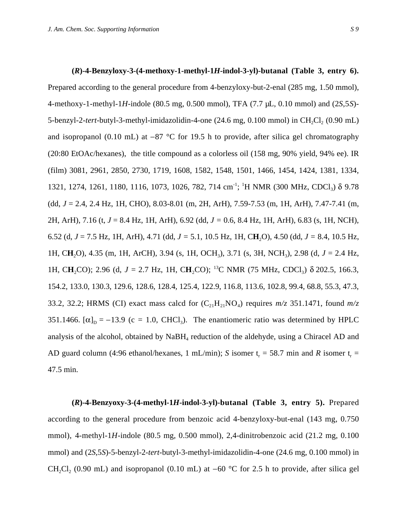#### **(***R***)-4-Benzyloxy-3-(4-methoxy-1-methyl-1***H***-indol-3-yl)-butanal (Table 3, entry 6).**

Prepared according to the general procedure from 4-benzyloxy-but-2-enal (285 mg, 1.50 mmol), 4-methoxy-1-methyl-1*H*-indole (80.5 mg, 0.500 mmol), TFA (7.7 µL, 0.10 mmol) and (2*S*,5*S*)- 5-benzyl-2-tert-butyl-3-methyl-imidazolidin-4-one (24.6 mg, 0.100 mmol) in CH<sub>2</sub>Cl<sub>2</sub> (0.90 mL) and isopropanol (0.10 mL) at −87 °C for 19.5 h to provide, after silica gel chromatography (20:80 EtOAc/hexanes), the title compound as a colorless oil (158 mg, 90% yield, 94% ee). IR (film) 3081, 2961, 2850, 2730, 1719, 1608, 1582, 1548, 1501, 1466, 1454, 1424, 1381, 1334, 1321, 1274, 1261, 1180, 1116, 1073, 1026, 782, 714 cm<sup>-1</sup>; <sup>1</sup>H NMR (300 MHz, CDCl<sub>3</sub>) δ 9.78 (dd, *J* = 2.4, 2.4 Hz, 1H, CHO), 8.03-8.01 (m, 2H, ArH), 7.59-7.53 (m, 1H, ArH), 7.47-7.41 (m, 2H, ArH), 7.16 (t, *J* = 8.4 Hz, 1H, ArH), 6.92 (dd, *J =* 0.6, 8.4 Hz, 1H, ArH), 6.83 (s, 1H, NCH), 6.52 (d, *J* = 7.5 Hz, 1H, ArH), 4.71 (dd, *J =* 5.1, 10.5 Hz, 1H, C**H**2O), 4.50 (dd, *J =* 8.4, 10.5 Hz, 1H, C**H**2O), 4.35 (m, 1H, ArCH), 3.94 (s, 1H, OCH3), 3.71 (s, 3H, NCH3), 2.98 (d, *J* = 2.4 Hz, 1H, CH<sub>2</sub>CO); 2.96 (d, *J* = 2.7 Hz, 1H, CH<sub>2</sub>CO); <sup>13</sup>C NMR (75 MHz, CDCl<sub>3</sub>) δ 202.5, 166.3, 154.2, 133.0, 130.3, 129.6, 128.6, 128.4, 125.4, 122.9, 116.8, 113.6, 102.8, 99.4, 68.8, 55.3, 47.3, 33.2, 32.2; HRMS (CI) exact mass calcd for  $(C_{21}H_{21}NO_4)$  requires  $m/z$  351.1471, found  $m/z$ 351.1466.  $[\alpha]_D = -13.9$  (c = 1.0, CHCl<sub>3</sub>). The enantiomeric ratio was determined by HPLC analysis of the alcohol, obtained by NaBH<sub>4</sub> reduction of the aldehyde, using a Chiracel AD and AD guard column (4:96 ethanol/hexanes, 1 mL/min); *S* isomer t<sub>r</sub> = 58.7 min and *R* isomer t<sub>r</sub> = 47.5 min.

**(***R***)-4-Benzyoxy-3-(4-methyl-1***H***-indol-3-yl)-butanal (Table 3, entry 5).** Prepared according to the general procedure from benzoic acid 4-benzyloxy-but-enal (143 mg, 0.750 mmol), 4-methyl-1*H*-indole (80.5 mg, 0.500 mmol), 2,4-dinitrobenzoic acid (21.2 mg, 0.100 mmol) and (2*S*,5*S*)-5-benzyl-2-*tert*-butyl-3-methyl-imidazolidin-4-one (24.6 mg, 0.100 mmol) in CH<sub>2</sub>Cl<sub>2</sub> (0.90 mL) and isopropanol (0.10 mL) at −60 °C for 2.5 h to provide, after silica gel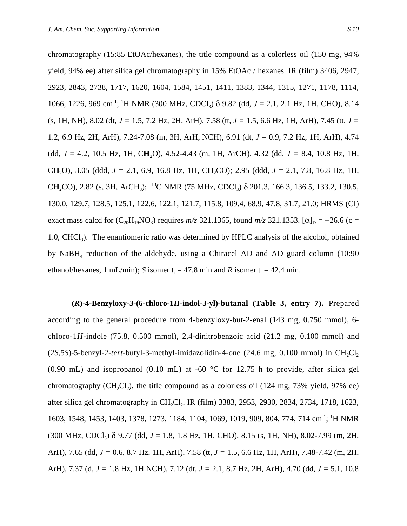chromatography (15:85 EtOAc/hexanes), the title compound as a colorless oil (150 mg, 94% yield, 94% ee) after silica gel chromatography in 15% EtOAc / hexanes. IR (film) 3406, 2947, 2923, 2843, 2738, 1717, 1620, 1604, 1584, 1451, 1411, 1383, 1344, 1315, 1271, 1178, 1114, 1066, 1226, 969 cm<sup>-1</sup>; <sup>1</sup>H NMR (300 MHz, CDCl<sub>3</sub>) δ 9.82 (dd, *J* = 2.1, 2.1 Hz, 1H, CHO), 8.14 (s, 1H, NH), 8.02 (dt, *J =* 1.5, 7.2 Hz, 2H, ArH), 7.58 (tt, *J =* 1.5, 6.6 Hz, 1H, ArH), 7.45 (tt, *J =* 1.2, 6.9 Hz, 2H, ArH), 7.24-7.08 (m, 3H, ArH, NCH), 6.91 (dt, *J =* 0.9, 7.2 Hz, 1H, ArH), 4.74 (dd, *J =* 4.2, 10.5 Hz, 1H, C**H**2O), 4.52-4.43 (m, 1H, ArCH), 4.32 (dd, *J =* 8.4, 10.8 Hz, 1H, C**H**2O), 3.05 (ddd, *J* = 2.1, 6.9, 16.8 Hz, 1H, C**H**2CO); 2.95 (ddd, *J* = 2.1, 7.8, 16.8 Hz, 1H, CH<sub>2</sub>CO), 2.82 (s, 3H, ArCH<sub>3</sub>); <sup>13</sup>C NMR (75 MHz, CDCl<sub>3</sub>) δ 201.3, 166.3, 136.5, 133.2, 130.5, 130.0, 129.7, 128.5, 125.1, 122.6, 122.1, 121.7, 115.8, 109.4, 68.9, 47.8, 31.7, 21.0; HRMS (CI) exact mass calcd for  $(C_{20}H_{19}NO_3)$  requires  $m/z$  321.1365, found  $m/z$  321.1353.  $[\alpha]_D = -26.6$  (c = 1.0, CHCl3). The enantiomeric ratio was determined by HPLC analysis of the alcohol, obtained by  $N$ a $BH<sub>4</sub>$  reduction of the aldehyde, using a Chiracel AD and AD guard column (10:90) ethanol/hexanes, 1 mL/min); *S* isomer  $t = 47.8$  min and *R* isomer  $t = 42.4$  min.

**(***R***)-4-Benzyloxy-3-(6-chloro-1***H***-indol-3-yl)-butanal (Table 3, entry 7).** Prepared according to the general procedure from 4-benzyloxy-but-2-enal (143 mg, 0.750 mmol), 6 chloro-1*H*-indole (75.8, 0.500 mmol), 2,4-dinitrobenzoic acid (21.2 mg, 0.100 mmol) and  $(2S,5S)$ -5-benzyl-2-tert-butyl-3-methyl-imidazolidin-4-one  $(24.6 \text{ mg}, 0.100 \text{ mmol})$  in CH<sub>2</sub>Cl<sub>2</sub> (0.90 mL) and isopropanol (0.10 mL) at -60  $\degree$ C for 12.75 h to provide, after silica gel chromatography (CH<sub>2</sub>Cl<sub>2</sub>), the title compound as a colorless oil (124 mg, 73% yield, 97% ee) after silica gel chromatography in CH<sub>2</sub>Cl<sub>2</sub>. IR (film) 3383, 2953, 2930, 2834, 2734, 1718, 1623, 1603, 1548, 1453, 1403, 1378, 1273, 1184, 1104, 1069, 1019, 909, 804, 774, 714 cm<sup>-1</sup>; <sup>1</sup>H NMR (300 MHz, CDCl3) δ 9.77 (dd, *J* = 1.8, 1.8 Hz, 1H, CHO), 8.15 (s, 1H, NH), 8.02-7.99 (m, 2H, ArH), 7.65 (dd, *J =* 0.6, 8.7 Hz, 1H, ArH), 7.58 (tt, *J =* 1.5, 6.6 Hz, 1H, ArH), 7.48-7.42 (m, 2H, ArH), 7.37 (d, *J =* 1.8 Hz, 1H NCH), 7.12 (dt, *J =* 2.1, 8.7 Hz, 2H, ArH), 4.70 (dd, *J =* 5.1, 10.8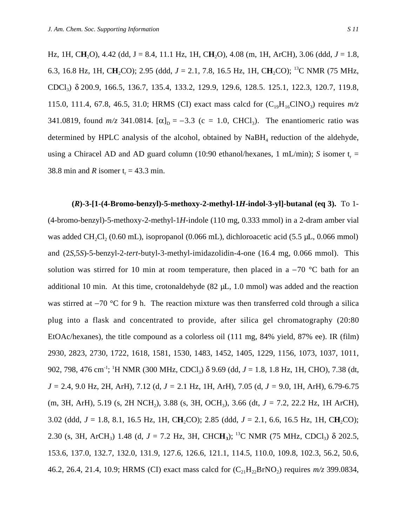Hz, 1H, C**H**2O), 4.42 (dd, J = 8.4, 11.1 Hz, 1H, C**H**2O), 4.08 (m, 1H, ArCH), 3.06 (ddd, *J* = 1.8, 6.3, 16.8 Hz, 1H, CH<sub>2</sub>CO); 2.95 (ddd,  $J = 2.1, 7.8, 16.5$  Hz, 1H, CH<sub>2</sub>CO); <sup>13</sup>C NMR (75 MHz, CDCl3) δ 200.9, 166.5, 136.7, 135.4, 133.2, 129.9, 129.6, 128.5. 125.1, 122.3, 120.7, 119.8, 115.0, 111.4, 67.8, 46.5, 31.0; HRMS (CI) exact mass calcd for  $(C_{19}H_{16}CINO_3)$  requires  $m/z$ 341.0819, found  $m/z$  341.0814.  $[\alpha]_D = -3.3$  (c = 1.0, CHCl<sub>3</sub>). The enantiomeric ratio was determined by HPLC analysis of the alcohol, obtained by  $NaBH<sub>4</sub>$  reduction of the aldehyde, using a Chiracel AD and AD guard column (10:90 ethanol/hexanes, 1 mL/min); *S* isomer  $t_r =$ 38.8 min and *R* isomer  $t_r = 43.3$  min.

**(***R***)-3-[1-(4-Bromo-benzyl)-5-methoxy-2-methyl-1***H***-indol-3-yl]-butanal (eq 3).** To 1- (4-bromo-benzyl)-5-methoxy-2-methyl-1*H*-indole (110 mg, 0.333 mmol) in a 2-dram amber vial was added CH<sub>2</sub>Cl<sub>2</sub> (0.60 mL), isopropanol (0.066 mL), dichloroacetic acid (5.5  $\mu$ L, 0.066 mmol) and (2*S*,5*S*)-5-benzyl-2-*tert*-butyl-3-methyl-imidazolidin-4-one (16.4 mg, 0.066 mmol). This solution was stirred for 10 min at room temperature, then placed in a −70 °C bath for an additional 10 min. At this time, crotonaldehyde  $(82 \mu L, 1.0 \text{ mmol})$  was added and the reaction was stirred at −70 °C for 9 h. The reaction mixture was then transferred cold through a silica plug into a flask and concentrated to provide, after silica gel chromatography (20:80 EtOAc/hexanes), the title compound as a colorless oil (111 mg, 84% yield, 87% ee). IR (film) 2930, 2823, 2730, 1722, 1618, 1581, 1530, 1483, 1452, 1405, 1229, 1156, 1073, 1037, 1011, 902, 798, 476 cm<sup>-1</sup>; <sup>1</sup>H NMR (300 MHz, CDCl<sub>3</sub>) δ 9.69 (dd, *J* = 1.8, 1.8 Hz, 1H, CHO), 7.38 (dt, *J =* 2.4, 9.0 Hz, 2H, ArH), 7.12 (d, *J =* 2.1 Hz, 1H, ArH), 7.05 (d, *J =* 9.0, 1H, ArH), 6.79-6.75 (m, 3H, ArH), 5.19 (s, 2H NCH<sub>2</sub>), 3.88 (s, 3H, OCH<sub>3</sub>), 3.66 (dt, *J* = 7.2, 22.2 Hz, 1H ArCH), 3.02 (ddd, *J* = 1.8, 8.1, 16.5 Hz, 1H, C**H**2CO); 2.85 (ddd, *J* = 2.1, 6.6, 16.5 Hz, 1H, C**H**2CO); 2.30 (s, 3H, ArCH<sub>3</sub>) 1.48 (d,  $J = 7.2$  Hz, 3H, CHCH<sub>3</sub>); <sup>13</sup>C NMR (75 MHz, CDCl<sub>3</sub>)  $\delta$  202.5, 153.6, 137.0, 132.7, 132.0, 131.9, 127.6, 126.6, 121.1, 114.5, 110.0, 109.8, 102.3, 56.2, 50.6, 46.2, 26.4, 21.4, 10.9; HRMS (CI) exact mass calcd for  $(C_{21}H_{22}BrNO_2)$  requires  $m/z$  399.0834,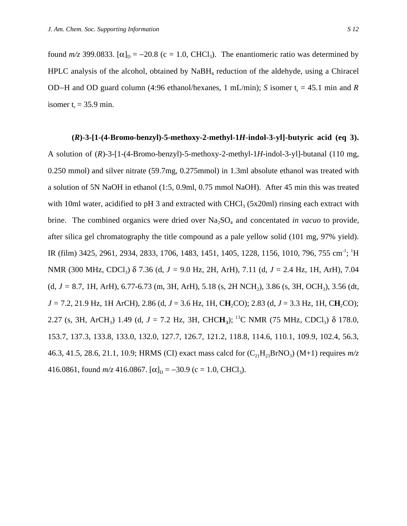found  $m/z$  399.0833. [ $\alpha$ ]<sub>D</sub> = −20.8 (c = 1.0, CHCl<sub>3</sub>). The enantiomeric ratio was determined by HPLC analysis of the alcohol, obtained by  $N$ aBH<sub>4</sub> reduction of the aldehyde, using a Chiracel OD–H and OD guard column (4:96 ethanol/hexanes, 1 mL/min); *S* isomer t<sub>r</sub> = 45.1 min and *R* isomer  $t_r = 35.9$  min.

**(***R***)-3-[1-(4-Bromo-benzyl)-5-methoxy-2-methyl-1***H***-indol-3-yl]-butyric acid (eq 3).** A solution of (*R*)-3-[1-(4-Bromo-benzyl)-5-methoxy-2-methyl-1*H*-indol-3-yl]-butanal (110 mg, 0.250 mmol) and silver nitrate (59.7mg, 0.275mmol) in 1.3ml absolute ethanol was treated with a solution of 5N NaOH in ethanol (1:5, 0.9ml, 0.75 mmol NaOH). After 45 min this was treated with 10ml water, acidified to pH 3 and extracted with CHCl<sub>3</sub> (5x20ml) rinsing each extract with brine. The combined organics were dried over Na<sub>2</sub>SO<sub>4</sub> and concentated *in vacuo* to provide, after silica gel chromatography the title compound as a pale yellow solid (101 mg, 97% yield). IR (film) 3425, 2961, 2934, 2833, 1706, 1483, 1451, 1405, 1228, 1156, 1010, 796, 755 cm<sup>-1</sup>; <sup>1</sup>H NMR (300 MHz, CDCl3) δ 7.36 (d, *J =* 9.0 Hz, 2H, ArH), 7.11 (d, *J =* 2.4 Hz, 1H, ArH), 7.04 (d, *J =* 8.7, 1H, ArH), 6.77-6.73 (m, 3H, ArH), 5.18 (s, 2H NCH2), 3.86 (s, 3H, OCH3), 3.56 (dt, *J =* 7.2, 21.9 Hz, 1H ArCH), 2.86 (d, *J* = 3.6 Hz, 1H, C**H**2CO); 2.83 (d, *J* = 3.3 Hz, 1H, C**H**2CO); 2.27 (s, 3H, ArCH<sub>3</sub>) 1.49 (d,  $J = 7.2$  Hz, 3H, CHCH<sub>3</sub>); <sup>13</sup>C NMR (75 MHz, CDCl<sub>3</sub>)  $\delta$  178.0, 153.7, 137.3, 133.8, 133.0, 132.0, 127.7, 126.7, 121.2, 118.8, 114.6, 110.1, 109.9, 102.4, 56.3, 46.3, 41.5, 28.6, 21.1, 10.9; HRMS (CI) exact mass calcd for  $(C_{21}H_{23}BrNO_3)$  (M+1) requires  $m/z$ 416.0861, found  $m/z$  416.0867.  $[\alpha]_D = -30.9$  (c = 1.0, CHCl<sub>3</sub>).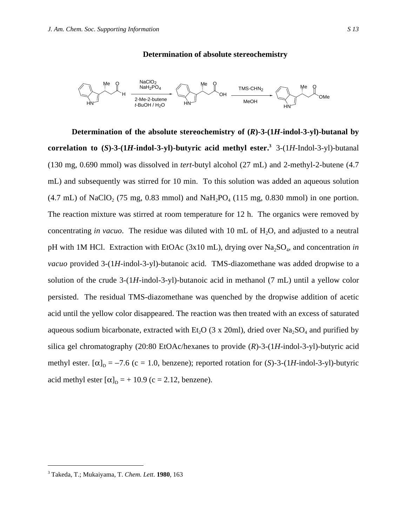### **Determination of absolute stereochemistry**



**Determination of the absolute stereochemistry of (***R***)-3-(1***H***-indol-3-yl)-butanal by correlation to (***S***)-3-(1***H***-indol-3-yl)-butyric acid methyl ester.<sup>3</sup> 3-(1***H***-Indol-3-yl)-butanal** (130 mg, 0.690 mmol) was dissolved in *tert*-butyl alcohol (27 mL) and 2-methyl-2-butene (4.7 mL) and subsequently was stirred for 10 min. To this solution was added an aqueous solution  $(4.7 \text{ mL})$  of NaClO<sub>2</sub> (75 mg, 0.83 mmol) and NaH<sub>2</sub>PO<sub>4</sub> (115 mg, 0.830 mmol) in one portion. The reaction mixture was stirred at room temperature for 12 h. The organics were removed by concentrating *in vacuo*. The residue was diluted with 10 mL of H<sub>2</sub>O, and adjusted to a neutral pH with 1M HCl. Extraction with EtOAc (3x10 mL), drying over Na<sub>2</sub>SO<sub>4</sub>, and concentration *in vacuo* provided 3-(1*H*-indol-3-yl)-butanoic acid. TMS-diazomethane was added dropwise to a solution of the crude 3-(1*H*-indol-3-yl)-butanoic acid in methanol (7 mL) until a yellow color persisted. The residual TMS-diazomethane was quenched by the dropwise addition of acetic acid until the yellow color disappeared. The reaction was then treated with an excess of saturated aqueous sodium bicarbonate, extracted with Et<sub>2</sub>O (3 x 20ml), dried over Na<sub>2</sub>SO<sub>4</sub> and purified by silica gel chromatography (20:80 EtOAc/hexanes to provide (*R*)-3-(1*H*-indol-3-yl)-butyric acid methyl ester.  $[\alpha]_D = -7.6$  (c = 1.0, benzene); reported rotation for (*S*)-3-(1*H*-indol-3-yl)-butyric acid methyl ester  $[\alpha]_D = +10.9$  (c = 2.12, benzene).

<sup>&</sup>lt;sup>2</sup><br>3 Takeda, T.; Mukaiyama, T. *Chem. Lett*. **1980**, 163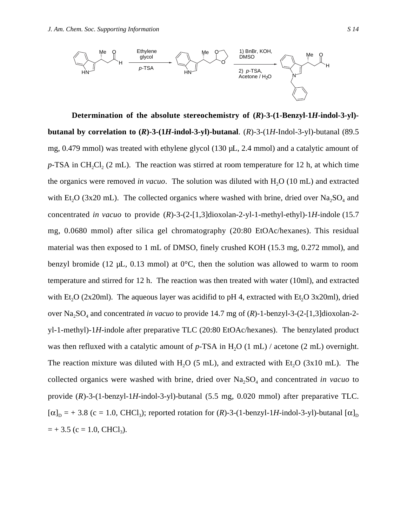

**Determination of the absolute stereochemistry of (***R***)-3-(1-Benzyl-1***H***-indol-3-yl) butanal by correlation to**  $(R)$ **-3-** $(H$ **-indol-3-yl)-butanal.**  $(R)$ -3- $(H$ -Indol-3-yl)-butanal (89.5) mg, 0.479 mmol) was treated with ethylene glycol (130 µL, 2.4 mmol) and a catalytic amount of *p*-TSA in CH<sub>2</sub>Cl<sub>2</sub> (2 mL). The reaction was stirred at room temperature for 12 h, at which time the organics were removed *in vacuo*. The solution was diluted with H<sub>2</sub>O (10 mL) and extracted with Et<sub>2</sub>O (3x20 mL). The collected organics where washed with brine, dried over  $Na<sub>2</sub>SO<sub>4</sub>$  and concentrated *in vacuo* to provide (*R*)-3-(2-[1,3]dioxolan-2-yl-1-methyl-ethyl)-1*H*-indole (15.7 mg, 0.0680 mmol) after silica gel chromatography (20:80 EtOAc/hexanes). This residual material was then exposed to 1 mL of DMSO, finely crushed KOH (15.3 mg, 0.272 mmol), and benzyl bromide (12  $\mu$ L, 0.13 mmol) at 0<sup>o</sup>C, then the solution was allowed to warm to room temperature and stirred for 12 h. The reaction was then treated with water (10ml), and extracted with Et<sub>2</sub>O (2x20ml). The aqueous layer was acidifid to pH 4, extracted with Et<sub>2</sub>O 3x20ml), dried over Na<sub>2</sub>SO<sub>4</sub> and concentrated *in vacuo* to provide 14.7 mg of (*R*)-1-benzyl-3-(2-[1,3]dioxolan-2yl-1-methyl)-1*H*-indole after preparative TLC (20:80 EtOAc/hexanes). The benzylated product was then refluxed with a catalytic amount of *p*-TSA in H<sub>2</sub>O (1 mL) / acetone (2 mL) overnight. The reaction mixture was diluted with  $H<sub>2</sub>O$  (5 mL), and extracted with Et<sub>i</sub>O (3x10 mL). The collected organics were washed with brine, dried over Na<sub>2</sub>SO<sub>4</sub> and concentrated *in vacuo* to provide (*R*)-3-(1-benzyl-1*H*-indol-3-yl)-butanal (5.5 mg, 0.020 mmol) after preparative TLC.  $[\alpha]_D = +3.8$  (c = 1.0, CHCl<sub>3</sub>); reported rotation for (*R*)-3-(1-benzyl-1*H*-indol-3-yl)-butanal [ $\alpha]_D$  $= +3.5$  (c = 1.0, CHCl<sub>3</sub>).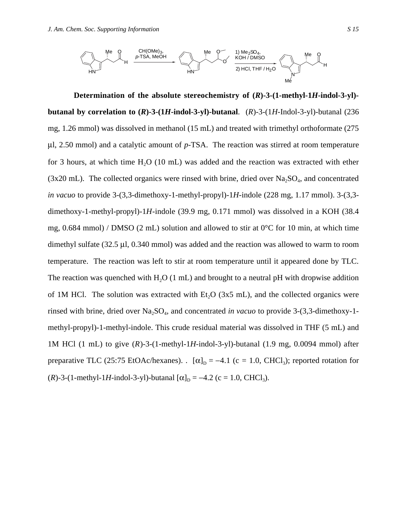

**Determination of the absolute stereochemistry of (***R***)-3-(1-methyl-1***H***-indol-3-yl) butanal by correlation to (***R***)-3-(1***H***-indol-3-yl)-butanal**. (*R*)-3-(1*H*-Indol-3-yl)-butanal (236 mg, 1.26 mmol) was dissolved in methanol (15 mL) and treated with trimethyl orthoformate (275 µl, 2.50 mmol) and a catalytic amount of *p*-TSA. The reaction was stirred at room temperature for 3 hours, at which time  $H<sub>2</sub>O$  (10 mL) was added and the reaction was extracted with ether  $(3x20 \text{ mL})$ . The collected organics were rinsed with brine, dried over Na<sub>2</sub>SO<sub>4</sub>, and concentrated *in vacuo* to provide 3-(3,3-dimethoxy-1-methyl-propyl)-1*H*-indole (228 mg, 1.17 mmol). 3-(3,3 dimethoxy-1-methyl-propyl)-1*H*-indole (39.9 mg, 0.171 mmol) was dissolved in a KOH (38.4 mg, 0.684 mmol) / DMSO (2 mL) solution and allowed to stir at  $0^{\circ}$ C for 10 min, at which time dimethyl sulfate (32.5 µl, 0.340 mmol) was added and the reaction was allowed to warm to room temperature. The reaction was left to stir at room temperature until it appeared done by TLC. The reaction was quenched with  $H<sub>2</sub>O$  (1 mL) and brought to a neutral pH with dropwise addition of 1M HCl. The solution was extracted with  $Et<sub>2</sub>O$  (3x5 mL), and the collected organics were rinsed with brine, dried over Na<sub>2</sub>SO<sub>4</sub>, and concentrated *in vacuo* to provide 3-(3,3-dimethoxy-1methyl-propyl)-1-methyl-indole. This crude residual material was dissolved in THF (5 mL) and 1M HCl (1 mL) to give (*R*)-3-(1-methyl-1*H*-indol-3-yl)-butanal (1.9 mg, 0.0094 mmol) after preparative TLC (25:75 EtOAc/hexanes). .  $[\alpha]_D = -4.1$  (c = 1.0, CHCl<sub>3</sub>); reported rotation for (*R*)-3-(1-methyl-1*H*-indol-3-yl)-butanal  $[\alpha]_D = -4.2$  (c = 1.0, CHCl<sub>3</sub>).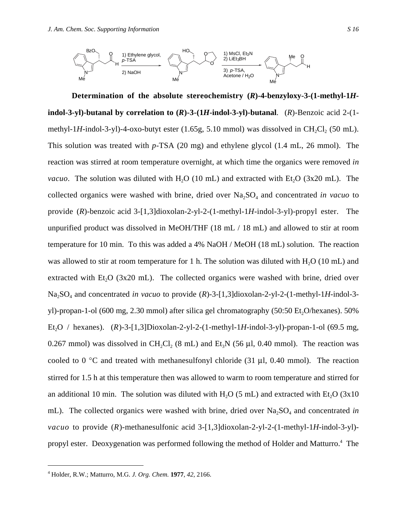

**Determination of the absolute stereochemistry (***R***)-4-benzyloxy-3-(1-methyl-1***H***indol-3-yl)-butanal by correlation to**  $(R)$ **-3-** $(1H$ **-indol-3-yl)-butanal.**  $(R)$ -Benzoic acid 2- $(1$ methyl-1*H*-indol-3-yl)-4-oxo-butyt ester  $(1.65g, 5.10$  mmol) was dissolved in CH<sub>2</sub>Cl<sub>2</sub> (50 mL). This solution was treated with *p*-TSA (20 mg) and ethylene glycol (1.4 mL, 26 mmol). The reaction was stirred at room temperature overnight, at which time the organics were removed *in vacuo*. The solution was diluted with  $H_2O$  (10 mL) and extracted with Et<sub>2</sub>O (3x20 mL). The collected organics were washed with brine, dried over Na<sub>2</sub>SO<sub>4</sub> and concentrated *in vacuo* to provide (*R*)-benzoic acid 3-[1,3]dioxolan-2-yl-2-(1-methyl-1*H*-indol-3-yl)-propyl ester. The unpurified product was dissolved in MeOH/THF (18 mL / 18 mL) and allowed to stir at room temperature for 10 min. To this was added a 4% NaOH / MeOH (18 mL) solution. The reaction was allowed to stir at room temperature for 1 h. The solution was diluted with  $H<sub>2</sub>O$  (10 mL) and extracted with Et<sub>2</sub>O (3x20 mL). The collected organics were washed with brine, dried over Na<sub>2</sub>SO<sub>4</sub> and concentrated *in vacuo* to provide (*R*)-3-[1,3]dioxolan-2-yl-2-(1-methyl-1*H*-indol-3yl)-propan-1-ol (600 mg, 2.30 mmol) after silica gel chromatography (50:50 Et, O/hexanes). 50% Et<sub>2</sub>O / hexanes). (*R*)-3-[1,3]Dioxolan-2-yl-2-(1-methyl-1*H*-indol-3-yl)-propan-1-ol (69.5 mg, 0.267 mmol) was dissolved in CH<sub>2</sub>Cl<sub>2</sub> (8 mL) and Et<sub>3</sub>N (56 µl, 0.40 mmol). The reaction was cooled to 0  $\degree$ C and treated with methanesulfonyl chloride (31 µl, 0.40 mmol). The reaction stirred for 1.5 h at this temperature then was allowed to warm to room temperature and stirred for an additional 10 min. The solution was diluted with  $H<sub>2</sub>O$  (5 mL) and extracted with Et<sub>2</sub>O (3x10) mL). The collected organics were washed with brine, dried over Na<sub>2</sub>SO<sub>4</sub> and concentrated *in vacuo* to provide (*R*)-methanesulfonic acid 3-[1,3]dioxolan-2-yl-2-(1-methyl-1*H*-indol-3-yl) propyl ester. Deoxygenation was performed following the method of Holder and Matturro.<sup>4</sup> The

 $\frac{1}{4}$ Holder, R.W.; Matturro, M.G. *J. Org. Chem.* **1977**, *42*, 2166.